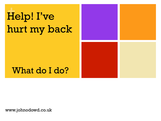## **+** Help! I've hurt my back



www.johnodowd.co.uk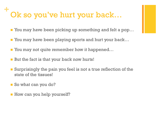## **+** Ok so you've hurt your back…

- You may have been picking up something and felt a pop...
- You may have been playing sports and hurt your back…
- You may not quite remember how it happened...
- **E** But the fact is that your back now hurts!
- Surprisingly the pain you feel is not a true reflection of the state of the tissues!
- So what can you do?
- **n** How can you help yourself?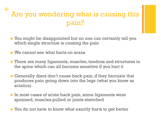## **+** Are you wondering what is causing this pain?

- **n** You might be disappointed but no one can certainly tell you which single structure is causing the pain
- $\blacksquare$  We cannot see what hurts on scans
- **n** There are many ligaments, muscles, tendons and structures in the spine which can all become sensitive if you hurt it
- **n** Generally discs don't cause back pain, if they herniate that produces pain going down into the legs (what you know as sciatica)
- In most cases of acute back pain, some ligaments were sprained, muscles pulled or joints stretched
- You do not have to know what exactly hurts to get better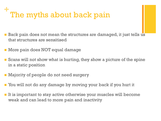### **+** The myths about back pain

- $\blacksquare$  Back pain does not mean the structures are damaged, it just tells us that structures are sensitised
- **n** More pain does NOT equal damage
- $\blacksquare$  Scans will not show what is hurting, they show a picture of the spine in a static position
- **n** Majority of people do not need surgery
- You will not do any damage by moving your back if you hurt it
- $\blacksquare$  It is important to stay active otherwise your muscles will become weak and can lead to more pain and inactivity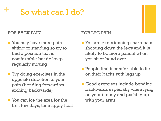## **+** So what can I do?

### FOR BACK PAIN

- $\blacksquare$  You may have more pain sitting or standing so try to find a position that is comfortable but do keep regularly moving
- **n** Try doing exercises in the opposite direction of your pain (bending forward vs arching backwards)
- **n** You can ice the area for the first few days, then apply heat

### FOR LEG PAIN

- **n** You are experiencing sharp pain shooting down the legs and it is likely to be more painful when you sit or bend over
- $\blacksquare$  People find it comfortable to lie on their backs with legs up
- $\blacksquare$  Good exercises include bending backwards especially when lying on your tummy and pushing up with your arms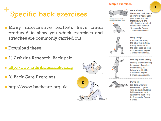# **Specific back exercises**

- Many informative leaflets have been produced to show you which exercises and stretches are commonly carried out
- Download these:
- 1) Arthritis Research. Back pain
- n http://www.arthritisresearchuk.org
- **n** 2) Back Care Exercises
- n http://www.backcare.org.uk





#### **Simple exercises**



NB: Upper knee should be directly above lower knee.

#### **Back stretch**

Lie on your back, hands above your head. Bend vour knees and roll them slowly to one side, keeping your feet on the floor. Hold for 10 seconds. Repeat 3 times on each side.



#### Deep Lunge

Kneel on one knee. the other foot in front. Facing forwards, lift the back knee up. Hold for 5 seconds, Repeat 3 times on each side.

#### One-leg stand (front)

Holding onto something for support if needed, bend one leg up behind you. Hold for 5 seconds. Repeat 3 times on each side.

#### **Pelvic filf**

Lie down with your knees bent. Tighten vour stomach muscles. flattening your back against the floor. Hold for 5 seconds. Repeat 5 times.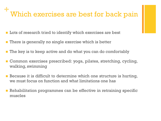# **<sup>+</sup>**Which exercises are best for back pain

- **n** Lots of research tried to identify which exercises are best
- There is generally no single exercise which is better
- The key is to keep active and do what you can do comfortably
- Common exercises prescribed: yoga, pilates, stretching, cycling, walking, swimming
- $\blacksquare$  Because it is difficult to determine which one structure is hurting, we must focus on function and what limitations one has
- **n** Rehabilitation programmes can be effective in retraining specific muscles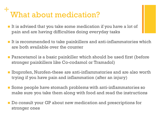### **+** What about medication?

- It is advised that you take some medication if you have a lot of pain and are having difficulties doing everyday tasks
- **n** It is recommended to take painkillers and anti-inflammatories which are both available over the counter
- **n** Paracetamol is a basic painkiller which should be used first (before stronger painkillers like Co-codamol or Tramadol)
- Ibuprofen, Nurofen-these are anti-inflammatories and are also worth trying if you have pain and inflammation (after an injury)
- Some people have stomach problems with anti-inflammatories so make sure you take them along with food and read the instructions
- Do consult your GP about new medication and prescriptions for stronger ones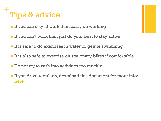## **+** Tips & advice

- $\blacksquare$  If you can stay at work then carry on working
- **n** If you can't work than just do your best to stay active
- $\blacksquare$  It is safe to do exercises in water or gentle swimming
- It is also safe to exercise on stationary bikes if comfortable
- $\blacksquare$  Do not try to rush into activities too quickly
- n If you drive regularly, download this document for more info: here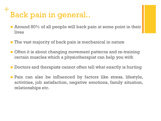## **+** Back pain in general..

- Around 80% of all people will back pain at some point in their lives
- $\blacksquare$  The vast majority of back pain is mechanical in nature
- **n** Often it is about changing movement patterns and re-training certain muscles which a physiotherapist can help you with
- $\blacksquare$  Doctors and therapists cannot often tell what exactly is hurting
- **n** Pain can also be influenced by factors like stress, lifestyle, activities, job satisfaction, negative emotions, family situation, relationships etc.